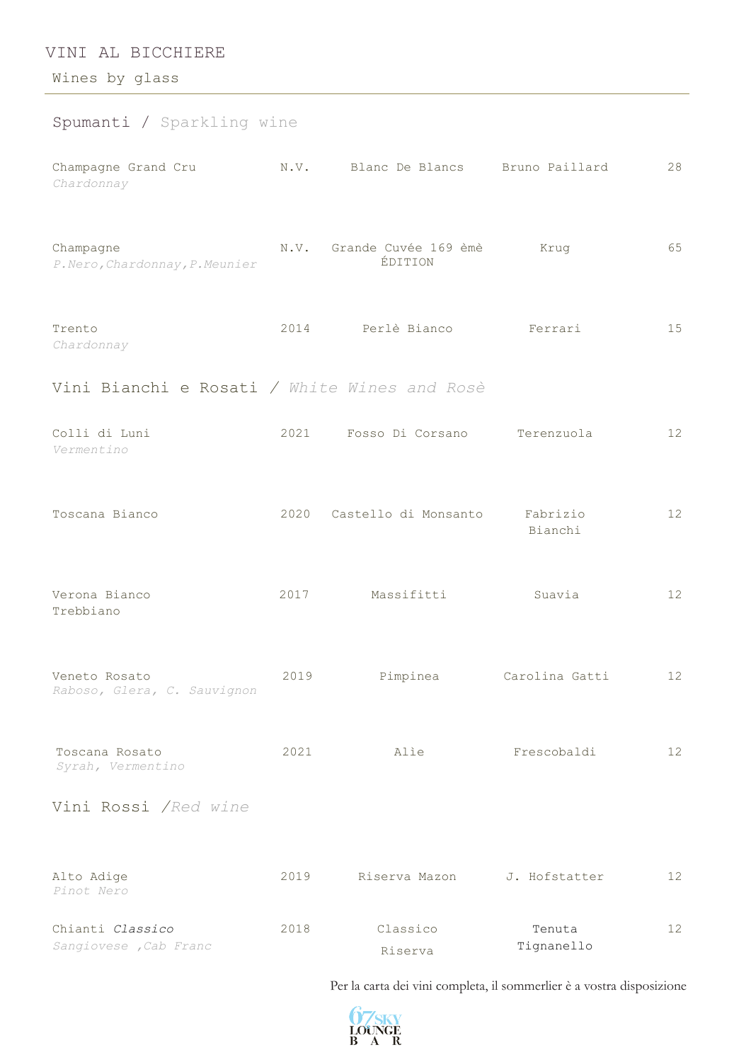## VINI AL BICCHIERE

Wines by glass

| Spumanti / Sparkling wine                    |      |                                      |                         |    |
|----------------------------------------------|------|--------------------------------------|-------------------------|----|
| Champagne Grand Cru<br>Chardonnay            |      | N.V. Blanc De Blancs Bruno Paillard  |                         | 28 |
| Champagne<br>P. Nero, Chardonnay, P. Meunier |      | N.V. Grande Cuvée 169 èmè<br>ÉDITION | Krug                    | 65 |
| Trento<br>Chardonnay                         |      | 2014 Perlè Bianco                    | Ferrari                 | 15 |
| Vini Bianchi e Rosati / White Wines and Rosè |      |                                      |                         |    |
| Colli di Luni<br>Vermentino                  |      | 2021 Fosso Di Corsano Terenzuola     |                         | 12 |
| Toscana Bianco                               |      | 2020 Castello di Monsanto            | Fabrizio<br>Bianchi     | 12 |
| Verona Bianco<br>Trebbiano                   | 2017 | Massifitti                           | Suavia                  | 12 |
| Veneto Rosato<br>Raboso, Glera, C. Sauvignon | 2019 |                                      | Pimpinea Carolina Gatti | 12 |
| Toscana Rosato<br>Syrah, Vermentino          | 2021 | Alie                                 | Frescobaldi             | 12 |
| Vini Rossi /Red wine                         |      |                                      |                         |    |
| Alto Adige<br>Pinot Nero                     | 2019 | Riserva Mazon                        | J. Hofstatter           | 12 |
| Chianti Classico<br>Sangiovese , Cab Franc   | 2018 | Classico<br>Riserva                  | Tenuta<br>Tignanello    | 12 |

Per la carta dei vini completa, il sommerlier è a vostra disposizione

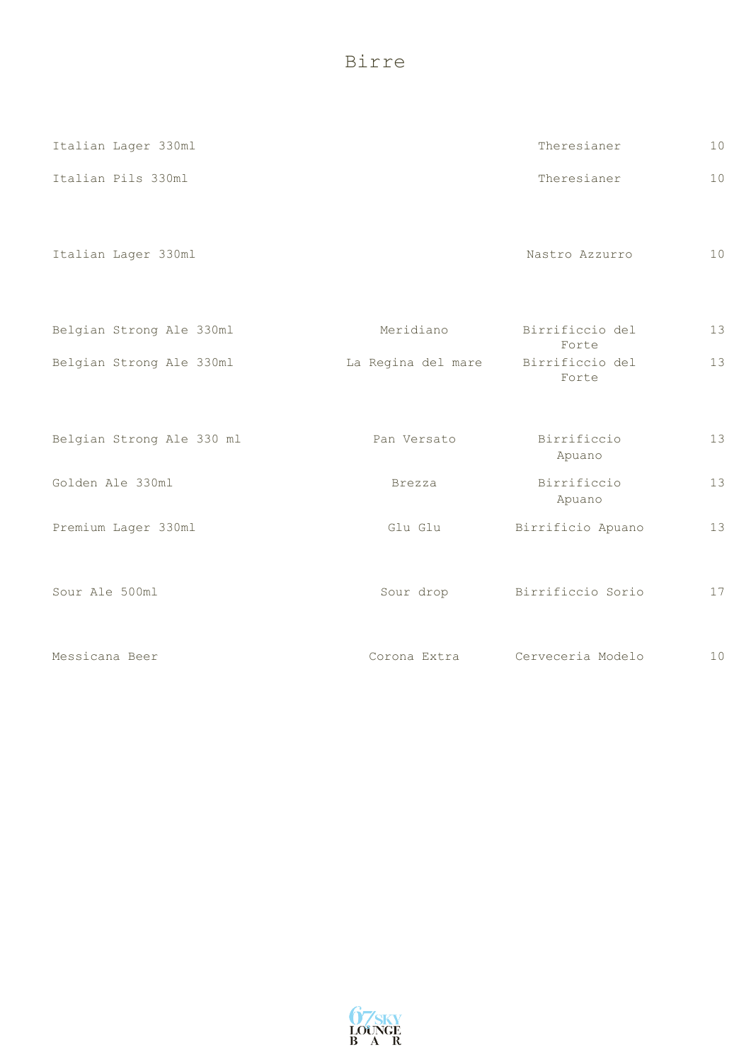Birre

| Italian Lager 330ml       |                    | Theresianer              | 10 |
|---------------------------|--------------------|--------------------------|----|
| Italian Pils 330ml        |                    | Theresianer              | 10 |
| Italian Lager 330ml       |                    | Nastro Azzurro           | 10 |
| Belgian Strong Ale 330ml  | Meridiano          | Birrificcio del<br>Forte | 13 |
| Belgian Strong Ale 330ml  | La Regina del mare | Birrificcio del<br>Forte | 13 |
|                           |                    |                          |    |
| Belgian Strong Ale 330 ml | Pan Versato        | Birrificcio<br>Apuano    | 13 |
| Golden Ale 330ml          | Brezza             | Birrificcio<br>Apuano    | 13 |
| Premium Lager 330ml       | Glu Glu            | Birrificio Apuano        | 13 |
| Sour Ale 500ml            | Sour drop          | Birrificcio Sorio        | 17 |
| Messicana Beer            | Corona Extra       | Cerveceria Modelo        | 10 |